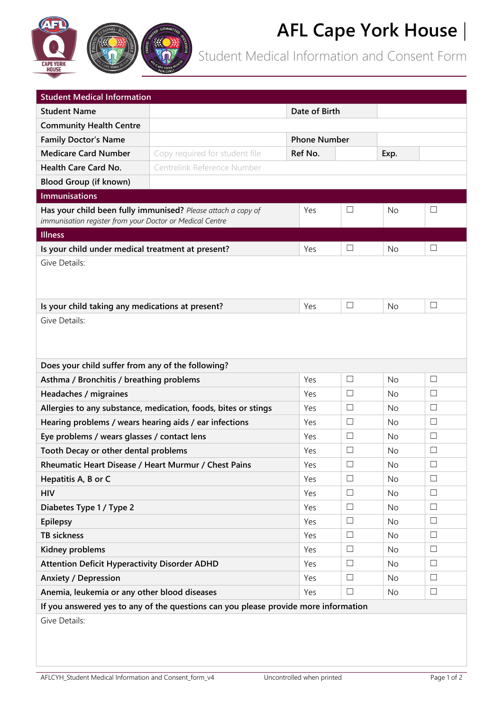

Student Medical Information and Consent Form

| <b>Student Medical Information</b>                                                                                       |                                                                                     |                     |        |           |        |
|--------------------------------------------------------------------------------------------------------------------------|-------------------------------------------------------------------------------------|---------------------|--------|-----------|--------|
| <b>Student Name</b>                                                                                                      |                                                                                     | Date of Birth       |        |           |        |
| <b>Community Health Centre</b>                                                                                           |                                                                                     |                     |        |           |        |
| <b>Family Doctor's Name</b>                                                                                              |                                                                                     | <b>Phone Number</b> |        |           |        |
| <b>Medicare Card Number</b>                                                                                              | Copy required for student file                                                      | Ref No.             |        | Exp.      |        |
| Health Care Card No.                                                                                                     | Centrelink Reference Number                                                         |                     |        |           |        |
| <b>Blood Group (if known)</b>                                                                                            |                                                                                     |                     |        |           |        |
| <b>Immunisations</b>                                                                                                     |                                                                                     |                     |        |           |        |
| Has your child been fully immunised? Please attach a copy of<br>immunisation register from your Doctor or Medical Centre |                                                                                     | Yes                 | $\Box$ | No        | ப      |
| <b>Illness</b>                                                                                                           |                                                                                     |                     |        |           |        |
| Is your child under medical treatment at present?                                                                        | Yes                                                                                 | $\Box$              | No     | $\Box$    |        |
| Give Details:                                                                                                            |                                                                                     |                     |        |           |        |
| Is your child taking any medications at present?                                                                         |                                                                                     | Yes                 | ⊔      | No        | $\Box$ |
| Give Details:<br>Does your child suffer from any of the following?                                                       |                                                                                     |                     |        |           |        |
| Asthma / Bronchitis / breathing problems                                                                                 |                                                                                     | Yes                 | $\Box$ | No        | $\Box$ |
| Headaches / migraines                                                                                                    |                                                                                     | Yes                 | $\Box$ | <b>No</b> | $\Box$ |
| Allergies to any substance, medication, foods, bites or stings                                                           |                                                                                     | Yes                 | $\Box$ | <b>No</b> | $\Box$ |
| Hearing problems / wears hearing aids / ear infections                                                                   |                                                                                     | Yes                 | ⊔      | No        | $\Box$ |
| Eye problems / wears glasses / contact lens                                                                              |                                                                                     | Yes                 | $\Box$ | No        | $\Box$ |
| Tooth Decay or other dental problems                                                                                     |                                                                                     | Yes                 | $\Box$ | No        | □      |
| Rheumatic Heart Disease / Heart Murmur / Chest Pains                                                                     |                                                                                     | Yes                 | $\Box$ | No        | $\Box$ |
| Hepatitis A, B or C                                                                                                      |                                                                                     | Yes                 | $\Box$ | No.       | $\Box$ |
| <b>HIV</b>                                                                                                               |                                                                                     | Yes                 | $\Box$ | No        | $\Box$ |
| Diabetes Type 1 / Type 2                                                                                                 |                                                                                     | Yes                 | $\Box$ | No        | $\Box$ |
| <b>Epilepsy</b>                                                                                                          |                                                                                     | Yes                 | $\Box$ | No        | $\Box$ |
| <b>TB sickness</b>                                                                                                       |                                                                                     | Yes                 | $\Box$ | No        | $\Box$ |
| Kidney problems                                                                                                          |                                                                                     | Yes                 | $\Box$ | No        | $\Box$ |
| <b>Attention Deficit Hyperactivity Disorder ADHD</b>                                                                     |                                                                                     | Yes                 | $\Box$ | No        | ш      |
| <b>Anxiety / Depression</b>                                                                                              |                                                                                     | Yes                 | $\Box$ | No        | $\Box$ |
| Anemia, leukemia or any other blood diseases                                                                             |                                                                                     | Yes                 | $\Box$ | No        | $\Box$ |
|                                                                                                                          | If you answered yes to any of the questions can you please provide more information |                     |        |           |        |
| Give Details:                                                                                                            |                                                                                     |                     |        |           |        |

**CAPE YOR**<br>HOUSE